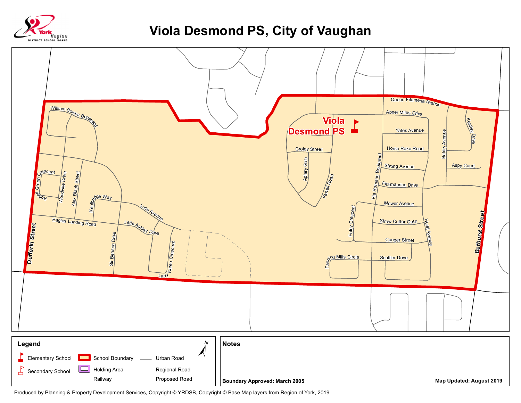

## **Viola Desmond PS, City of Vaughan**



Produced by Planning & Property Development Services, Copyright © YRDSB, Copyright © Base Map layers from Region of York, 2019